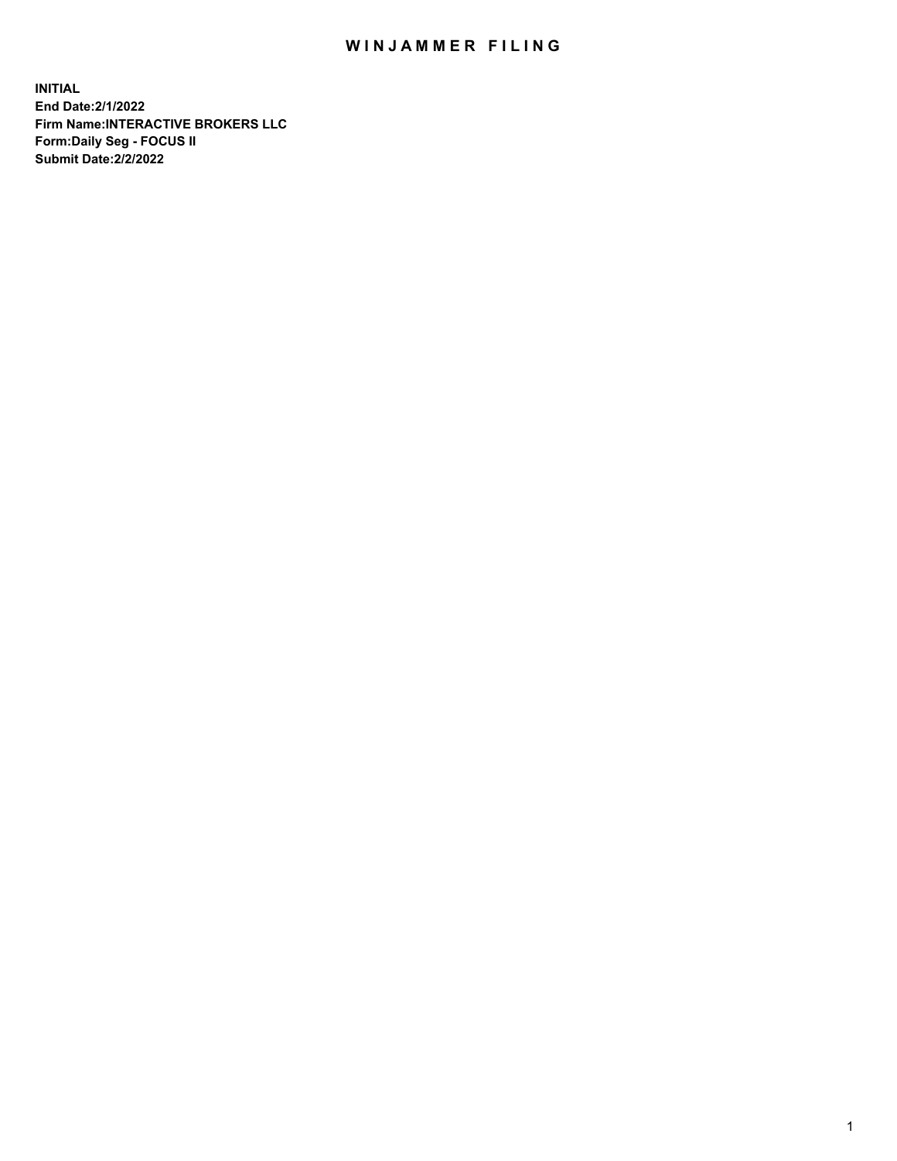## WIN JAMMER FILING

**INITIAL End Date:2/1/2022 Firm Name:INTERACTIVE BROKERS LLC Form:Daily Seg - FOCUS II Submit Date:2/2/2022**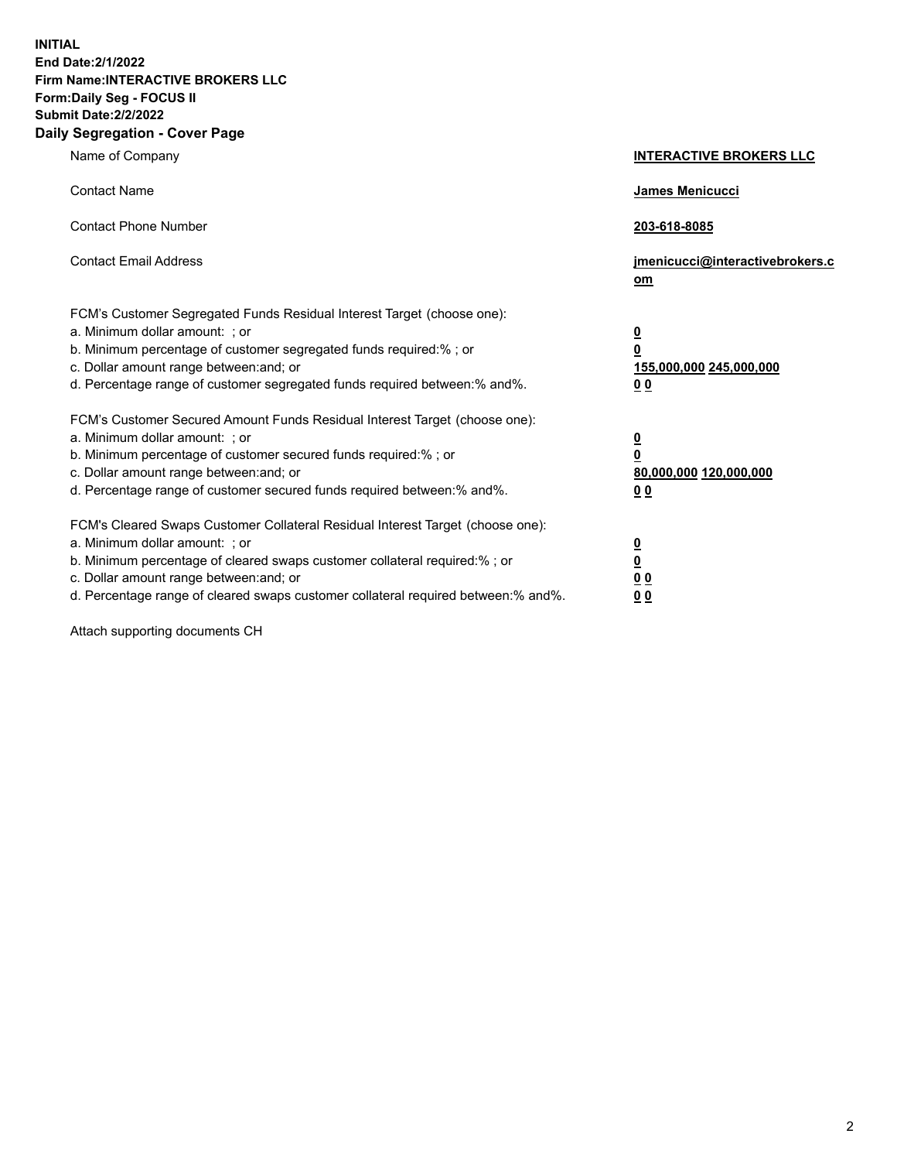**INITIAL End Date:2/1/2022 Firm Name:INTERACTIVE BROKERS LLC Form:Daily Seg - FOCUS II Submit Date:2/2/2022 Daily Segregation - Cover Page**

| Name of Company                                                                                                                                                                                                                                                                                                                | <b>INTERACTIVE BROKERS LLC</b>                                                             |
|--------------------------------------------------------------------------------------------------------------------------------------------------------------------------------------------------------------------------------------------------------------------------------------------------------------------------------|--------------------------------------------------------------------------------------------|
| <b>Contact Name</b>                                                                                                                                                                                                                                                                                                            | James Menicucci                                                                            |
| <b>Contact Phone Number</b>                                                                                                                                                                                                                                                                                                    | 203-618-8085                                                                               |
| <b>Contact Email Address</b>                                                                                                                                                                                                                                                                                                   | jmenicucci@interactivebrokers.c<br>om                                                      |
| FCM's Customer Segregated Funds Residual Interest Target (choose one):<br>a. Minimum dollar amount: : or<br>b. Minimum percentage of customer segregated funds required:% ; or<br>c. Dollar amount range between: and; or<br>d. Percentage range of customer segregated funds required between:% and%.                         | $\overline{\mathbf{0}}$<br>$\overline{\mathbf{0}}$<br>155,000,000 245,000,000<br><u>00</u> |
| FCM's Customer Secured Amount Funds Residual Interest Target (choose one):<br>a. Minimum dollar amount: ; or<br>b. Minimum percentage of customer secured funds required:% ; or<br>c. Dollar amount range between: and; or<br>d. Percentage range of customer secured funds required between:% and%.                           | $\frac{0}{0}$<br>80,000,000 120,000,000<br>00                                              |
| FCM's Cleared Swaps Customer Collateral Residual Interest Target (choose one):<br>a. Minimum dollar amount: ; or<br>b. Minimum percentage of cleared swaps customer collateral required:% ; or<br>c. Dollar amount range between: and; or<br>d. Percentage range of cleared swaps customer collateral required between:% and%. | $\frac{0}{0}$<br>$\underline{0}$ $\underline{0}$<br>0 <sub>0</sub>                         |

Attach supporting documents CH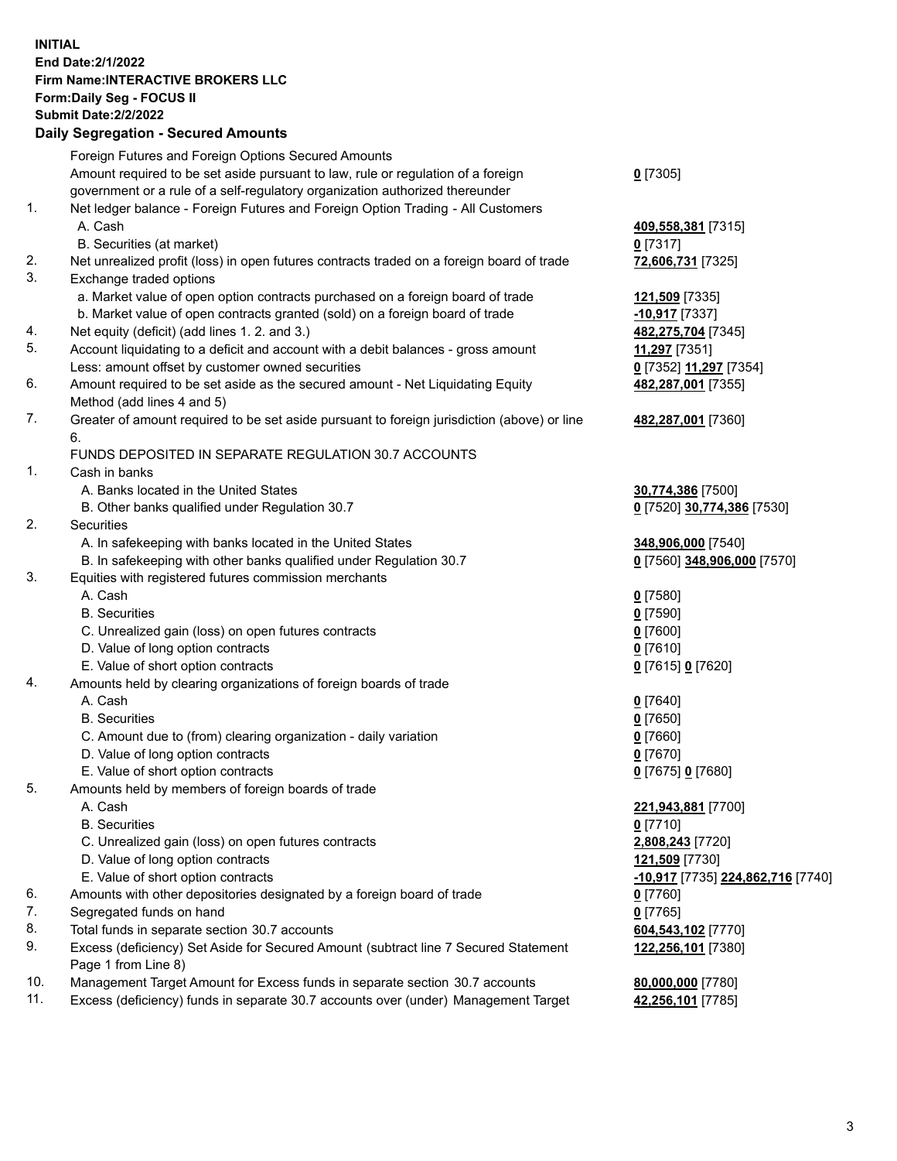**INITIAL End Date:2/1/2022 Firm Name:INTERACTIVE BROKERS LLC Form:Daily Seg - FOCUS II Submit Date:2/2/2022 Daily Segregation - Secured Amounts**

|                | Daily Ocglegation - Occuled Anioants                                                        |                                   |
|----------------|---------------------------------------------------------------------------------------------|-----------------------------------|
|                | Foreign Futures and Foreign Options Secured Amounts                                         |                                   |
|                | Amount required to be set aside pursuant to law, rule or regulation of a foreign            | $0$ [7305]                        |
|                | government or a rule of a self-regulatory organization authorized thereunder                |                                   |
| 1.             | Net ledger balance - Foreign Futures and Foreign Option Trading - All Customers             |                                   |
|                | A. Cash                                                                                     | 409,558,381 [7315]                |
|                | B. Securities (at market)                                                                   | $0$ [7317]                        |
| 2.             | Net unrealized profit (loss) in open futures contracts traded on a foreign board of trade   | 72,606,731 [7325]                 |
| 3.             | Exchange traded options                                                                     |                                   |
|                | a. Market value of open option contracts purchased on a foreign board of trade              | 121,509 [7335]                    |
|                | b. Market value of open contracts granted (sold) on a foreign board of trade                | $-10,917$ [7337]                  |
| 4.             | Net equity (deficit) (add lines 1. 2. and 3.)                                               | 482,275,704 [7345]                |
| 5.             | Account liquidating to a deficit and account with a debit balances - gross amount           | 11,297 [7351]                     |
|                | Less: amount offset by customer owned securities                                            | 0 [7352] 11,297 [7354]            |
| 6.             | Amount required to be set aside as the secured amount - Net Liquidating Equity              | 482,287,001 [7355]                |
|                | Method (add lines 4 and 5)                                                                  |                                   |
| 7.             | Greater of amount required to be set aside pursuant to foreign jurisdiction (above) or line | 482,287,001 [7360]                |
|                | 6.                                                                                          |                                   |
|                | FUNDS DEPOSITED IN SEPARATE REGULATION 30.7 ACCOUNTS                                        |                                   |
| $\mathbf{1}$ . | Cash in banks                                                                               |                                   |
|                | A. Banks located in the United States                                                       | 30,774,386 [7500]                 |
|                | B. Other banks qualified under Regulation 30.7                                              | 0 [7520] 30,774,386 [7530]        |
| 2.             | <b>Securities</b>                                                                           |                                   |
|                | A. In safekeeping with banks located in the United States                                   | 348,906,000 [7540]                |
|                | B. In safekeeping with other banks qualified under Regulation 30.7                          | 0 [7560] 348,906,000 [7570]       |
| 3.             | Equities with registered futures commission merchants                                       |                                   |
|                | A. Cash                                                                                     | $0$ [7580]                        |
|                | <b>B.</b> Securities                                                                        | $0$ [7590]                        |
|                | C. Unrealized gain (loss) on open futures contracts                                         | $0$ [7600]                        |
|                | D. Value of long option contracts                                                           | $0$ [7610]                        |
|                | E. Value of short option contracts                                                          | 0 [7615] 0 [7620]                 |
| 4.             | Amounts held by clearing organizations of foreign boards of trade                           |                                   |
|                | A. Cash                                                                                     | $0$ [7640]                        |
|                | <b>B.</b> Securities                                                                        | $0$ [7650]                        |
|                | C. Amount due to (from) clearing organization - daily variation                             | $0$ [7660]                        |
|                | D. Value of long option contracts                                                           | $0$ [7670]                        |
|                | E. Value of short option contracts                                                          | 0 [7675] 0 [7680]                 |
| 5.             | Amounts held by members of foreign boards of trade                                          |                                   |
|                | A. Cash                                                                                     | 221,943,881 [7700]                |
|                | <b>B.</b> Securities                                                                        | $0$ [7710]                        |
|                | C. Unrealized gain (loss) on open futures contracts                                         | 2,808,243 [7720]                  |
|                | D. Value of long option contracts                                                           | 121,509 [7730]                    |
|                | E. Value of short option contracts                                                          | -10,917 [7735] 224,862,716 [7740] |
| 6.             | Amounts with other depositories designated by a foreign board of trade                      | $0$ [7760]                        |
| 7.             | Segregated funds on hand                                                                    | $0$ [7765]                        |
| 8.             | Total funds in separate section 30.7 accounts                                               | 604,543,102 [7770]                |
| 9.             | Excess (deficiency) Set Aside for Secured Amount (subtract line 7 Secured Statement         | 122,256,101 [7380]                |
|                | Page 1 from Line 8)                                                                         |                                   |
| 10.            | Management Target Amount for Excess funds in separate section 30.7 accounts                 | 80,000,000 [7780]                 |
| 11.            | Excess (deficiency) funds in separate 30.7 accounts over (under) Management Target          | 42,256,101 [7785]                 |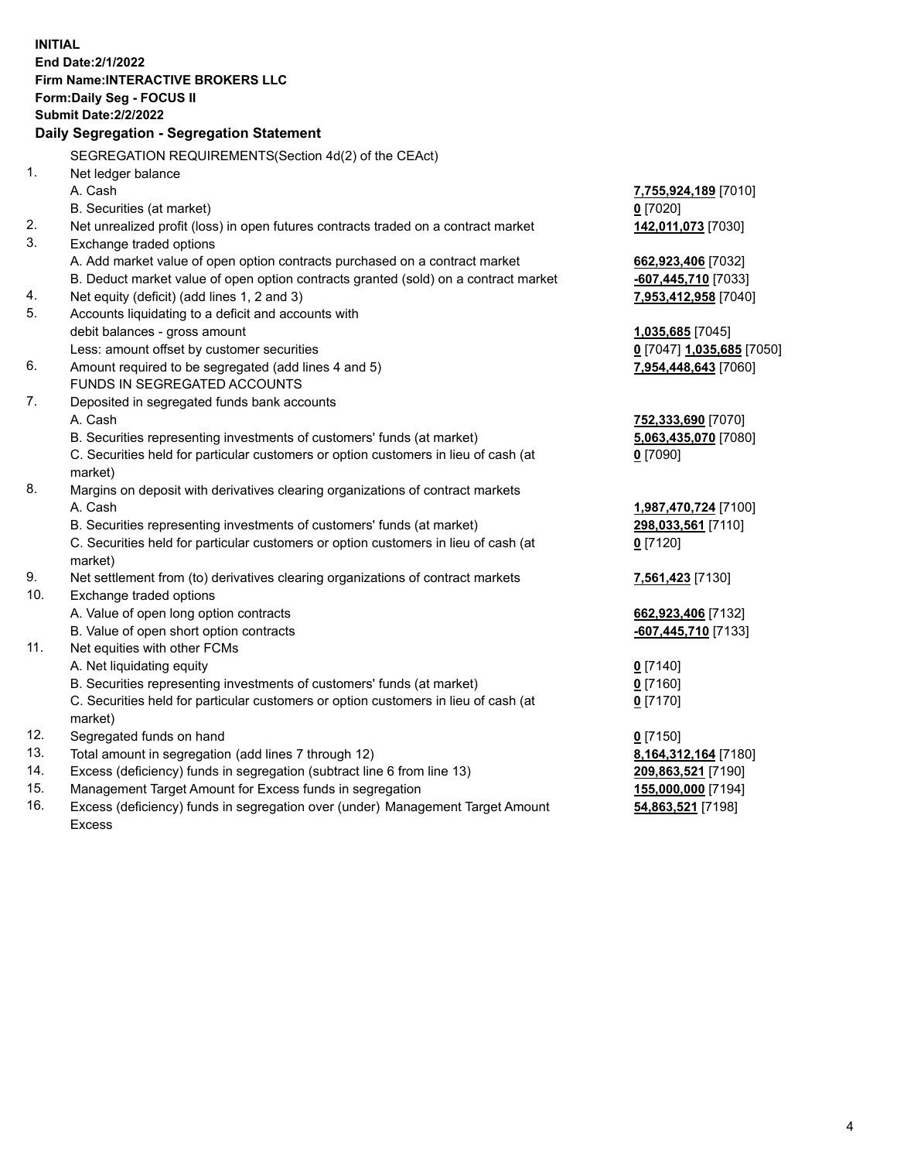**INITIAL End Date:2/1/2022 Firm Name:INTERACTIVE BROKERS LLC Form:Daily Seg - FOCUS II Submit Date:2/2/2022 Daily Segregation - Segregation Statement** SEGREGATION REQUIREMENTS(Section 4d(2) of the CEAct) 1. Net ledger balance A. Cash **7,755,924,189** [7010] B. Securities (at market) **0** [7020] 2. Net unrealized profit (loss) in open futures contracts traded on a contract market **142,011,073** [7030] 3. Exchange traded options A. Add market value of open option contracts purchased on a contract market **662,923,406** [7032] B. Deduct market value of open option contracts granted (sold) on a contract market **-607,445,710** [7033] 4. Net equity (deficit) (add lines 1, 2 and 3) **7,953,412,958** [7040] 5. Accounts liquidating to a deficit and accounts with debit balances - gross amount **1,035,685** [7045] Less: amount offset by customer securities **0** [7047] **1,035,685** [7050] 6. Amount required to be segregated (add lines 4 and 5) **7,954,448,643** [7060] FUNDS IN SEGREGATED ACCOUNTS 7. Deposited in segregated funds bank accounts A. Cash **752,333,690** [7070] B. Securities representing investments of customers' funds (at market) **5,063,435,070** [7080] C. Securities held for particular customers or option customers in lieu of cash (at market) **0** [7090] 8. Margins on deposit with derivatives clearing organizations of contract markets A. Cash **1,987,470,724** [7100] B. Securities representing investments of customers' funds (at market) **298,033,561** [7110] C. Securities held for particular customers or option customers in lieu of cash (at market) **0** [7120] 9. Net settlement from (to) derivatives clearing organizations of contract markets **7,561,423** [7130] 10. Exchange traded options A. Value of open long option contracts **662,923,406** [7132] B. Value of open short option contracts **-607,445,710** [7133] 11. Net equities with other FCMs A. Net liquidating equity **0** [7140] B. Securities representing investments of customers' funds (at market) **0** [7160] C. Securities held for particular customers or option customers in lieu of cash (at market) **0** [7170] 12. Segregated funds on hand **0** [7150] 13. Total amount in segregation (add lines 7 through 12) **8,164,312,164** [7180] 14. Excess (deficiency) funds in segregation (subtract line 6 from line 13) **209,863,521** [7190] 15. Management Target Amount for Excess funds in segregation **155,000,000** [7194]

16. Excess (deficiency) funds in segregation over (under) Management Target Amount Excess

**54,863,521** [7198]